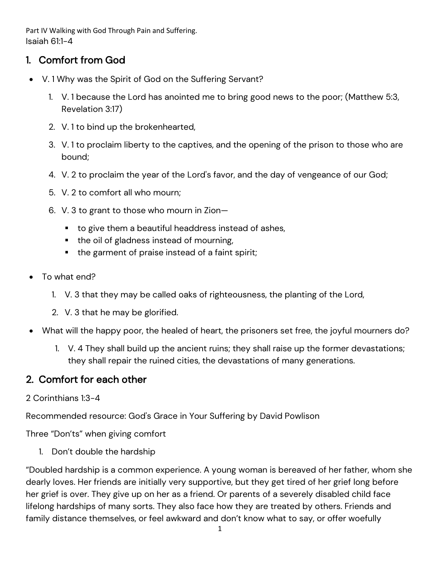Part IV Walking with God Through Pain and Suffering. Isaiah 61:1-4

## 1. Comfort from God

- V. 1 Why was the Spirit of God on the Suffering Servant?
	- 1. V. 1 because the Lord has anointed me to bring good news to the poor; (Matthew 5:3, Revelation 3:17)
	- 2. V. 1 to bind up the brokenhearted,
	- 3. V. 1 to proclaim liberty to the captives, and the opening of the prison to those who are bound;
	- 4. V. 2 to proclaim the year of the Lord's favor, and the day of vengeance of our God;
	- 5. V. 2 to comfort all who mourn;
	- 6. V. 3 to grant to those who mourn in Zion—
		- to give them a beautiful headdress instead of ashes,
		- the oil of gladness instead of mourning,
		- the garment of praise instead of a faint spirit;
- To what end?
	- 1. V. 3 that they may be called oaks of righteousness, the planting of the Lord,
	- 2. V. 3 that he may be glorified.
- What will the happy poor, the healed of heart, the prisoners set free, the joyful mourners do?
	- 1. V. 4 They shall build up the ancient ruins; they shall raise up the former devastations; they shall repair the ruined cities, the devastations of many generations.

## 2. Comfort for each other

## 2 Corinthians 1:3-4

Recommended resource: God's Grace in Your Suffering by David Powlison

Three "Don'ts" when giving comfort

1. Don't double the hardship

"Doubled hardship is a common experience. A young woman is bereaved of her father, whom she dearly loves. Her friends are initially very supportive, but they get tired of her grief long before her grief is over. They give up on her as a friend. Or parents of a severely disabled child face lifelong hardships of many sorts. They also face how they are treated by others. Friends and family distance themselves, or feel awkward and don't know what to say, or offer woefully